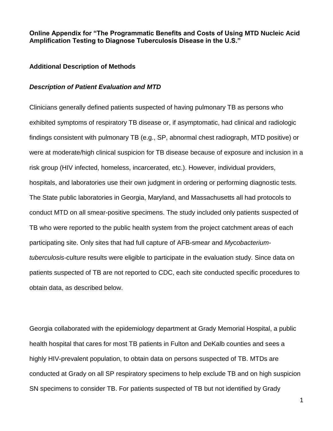**Online Appendix for "The Programmatic Benefits and Costs of Using MTD Nucleic Acid Amplification Testing to Diagnose Tuberculosis Disease in the U.S."**

### **Additional Description of Methods**

#### *Description of Patient Evaluation and MTD*

Clinicians generally defined patients suspected of having pulmonary TB as persons who exhibited symptoms of respiratory TB disease or, if asymptomatic, had clinical and radiologic findings consistent with pulmonary TB (e.g., SP, abnormal chest radiograph, MTD positive) or were at moderate/high clinical suspicion for TB disease because of exposure and inclusion in a risk group (HIV infected, homeless, incarcerated, etc.). However, individual providers, hospitals, and laboratories use their own judgment in ordering or performing diagnostic tests. The State public laboratories in Georgia, Maryland, and Massachusetts all had protocols to conduct MTD on all smear-positive specimens. The study included only patients suspected of TB who were reported to the public health system from the project catchment areas of each participating site. Only sites that had full capture of AFB-smear and *Mycobacteriumtuberculosis-*culture results were eligible to participate in the evaluation study. Since data on patients suspected of TB are not reported to CDC, each site conducted specific procedures to obtain data, as described below.

Georgia collaborated with the epidemiology department at Grady Memorial Hospital, a public health hospital that cares for most TB patients in Fulton and DeKalb counties and sees a highly HIV-prevalent population, to obtain data on persons suspected of TB. MTDs are conducted at Grady on all SP respiratory specimens to help exclude TB and on high suspicion SN specimens to consider TB. For patients suspected of TB but not identified by Grady

1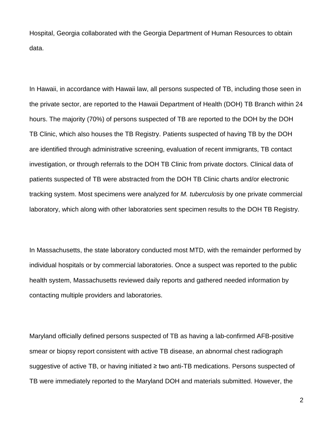Hospital, Georgia collaborated with the Georgia Department of Human Resources to obtain data.

In Hawaii, in accordance with Hawaii law, all persons suspected of TB, including those seen in the private sector, are reported to the Hawaii Department of Health (DOH) TB Branch within 24 hours. The majority (70%) of persons suspected of TB are reported to the DOH by the DOH TB Clinic, which also houses the TB Registry. Patients suspected of having TB by the DOH are identified through administrative screening, evaluation of recent immigrants, TB contact investigation, or through referrals to the DOH TB Clinic from private doctors. Clinical data of patients suspected of TB were abstracted from the DOH TB Clinic charts and/or electronic tracking system. Most specimens were analyzed for *M. tuberculosis* by one private commercial laboratory, which along with other laboratories sent specimen results to the DOH TB Registry.

In Massachusetts, the state laboratory conducted most MTD, with the remainder performed by individual hospitals or by commercial laboratories. Once a suspect was reported to the public health system, Massachusetts reviewed daily reports and gathered needed information by contacting multiple providers and laboratories.

Maryland officially defined persons suspected of TB as having a lab-confirmed AFB-positive smear or biopsy report consistent with active TB disease, an abnormal chest radiograph suggestive of active TB, or having initiated ≥ two anti-TB medications. Persons suspected of TB were immediately reported to the Maryland DOH and materials submitted. However, the

2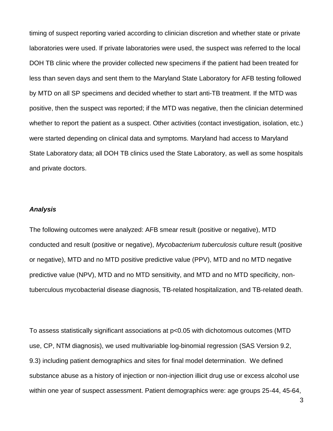timing of suspect reporting varied according to clinician discretion and whether state or private laboratories were used. If private laboratories were used, the suspect was referred to the local DOH TB clinic where the provider collected new specimens if the patient had been treated for less than seven days and sent them to the Maryland State Laboratory for AFB testing followed by MTD on all SP specimens and decided whether to start anti-TB treatment. If the MTD was positive, then the suspect was reported; if the MTD was negative, then the clinician determined whether to report the patient as a suspect. Other activities (contact investigation, isolation, etc.) were started depending on clinical data and symptoms. Maryland had access to Maryland State Laboratory data; all DOH TB clinics used the State Laboratory, as well as some hospitals and private doctors.

### *Analysis*

The following outcomes were analyzed: AFB smear result (positive or negative), MTD conducted and result (positive or negative), *Mycobacterium tuberculosis* culture result (positive or negative), MTD and no MTD positive predictive value (PPV), MTD and no MTD negative predictive value (NPV), MTD and no MTD sensitivity, and MTD and no MTD specificity, nontuberculous mycobacterial disease diagnosis, TB-related hospitalization, and TB-related death.

To assess statistically significant associations at p<0.05 with dichotomous outcomes (MTD use, CP, NTM diagnosis), we used multivariable log-binomial regression (SAS Version 9.2, 9.3) including patient demographics and sites for final model determination. We defined substance abuse as a history of injection or non-injection illicit drug use or excess alcohol use within one year of suspect assessment. Patient demographics were: age groups 25-44, 45-64,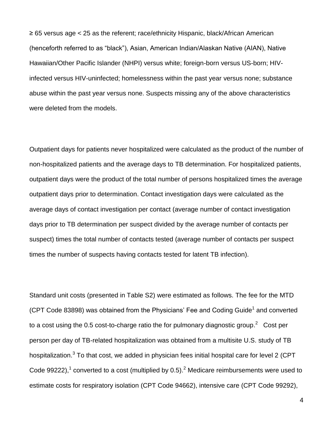≥ 65 versus age < 25 as the referent; race/ethnicity Hispanic, black/African American (henceforth referred to as "black"), Asian, American Indian/Alaskan Native (AIAN), Native Hawaiian/Other Pacific Islander (NHPI) versus white; foreign-born versus US-born; HIVinfected versus HIV-uninfected; homelessness within the past year versus none; substance abuse within the past year versus none. Suspects missing any of the above characteristics were deleted from the models.

Outpatient days for patients never hospitalized were calculated as the product of the number of non-hospitalized patients and the average days to TB determination. For hospitalized patients, outpatient days were the product of the total number of persons hospitalized times the average outpatient days prior to determination. Contact investigation days were calculated as the average days of contact investigation per contact (average number of contact investigation days prior to TB determination per suspect divided by the average number of contacts per suspect) times the total number of contacts tested (average number of contacts per suspect times the number of suspects having contacts tested for latent TB infection).

Standard unit costs (presented in Table S2) were estimated as follows. The fee for the MTD (CPT Code 83898) was obtained from the Physicians' Fee and Coding Guide<sup>1</sup> and converted to a cost using the 0.5 cost-to-charge ratio the for pulmonary diagnostic group.<sup>2</sup> Cost per person per day of TB-related hospitalization was obtained from a multisite U.S. study of TB hospitalization.<sup>3</sup> To that cost, we added in physician fees initial hospital care for level 2 (CPT Code 99222),<sup>1</sup> converted to a cost (multiplied by 0.5).<sup>2</sup> Medicare reimbursements were used to estimate costs for respiratory isolation (CPT Code 94662), intensive care (CPT Code 99292),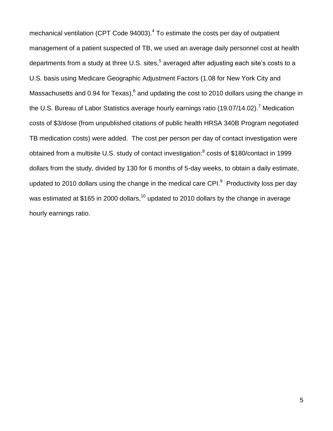mechanical ventilation (CPT Code 94003).<sup>4</sup> To estimate the costs per day of outpatient management of a patient suspected of TB, we used an average daily personnel cost at health departments from a study at three U.S. sites, $^5$  averaged after adjusting each site's costs to a U.S. basis using Medicare Geographic Adjustment Factors (1.08 for New York City and Massachusetts and 0.94 for Texas),  $6$  and updating the cost to 2010 dollars using the change in the U.S. Bureau of Labor Statistics average hourly earnings ratio (19.07/14.02).<sup>7</sup> Medication costs of \$3/dose (from unpublished citations of public health HRSA 340B Program negotiated TB medication costs) were added. The cost per person per day of contact investigation were obtained from a multisite U.S. study of contact investigation:<sup>8</sup> costs of \$180/contact in 1999 dollars from the study, divided by 130 for 6 months of 5-day weeks, to obtain a daily estimate, updated to 2010 dollars using the change in the medical care CPI. $9$  Productivity loss per day was estimated at \$165 in 2000 dollars,<sup>10</sup> updated to 2010 dollars by the change in average hourly earnings ratio.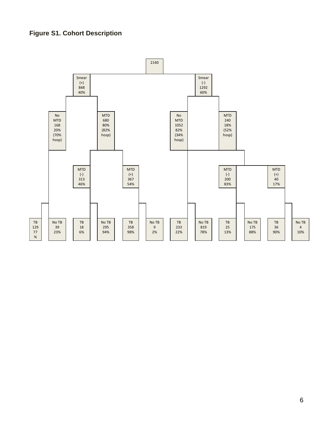## **Figure S1. Cohort Description**

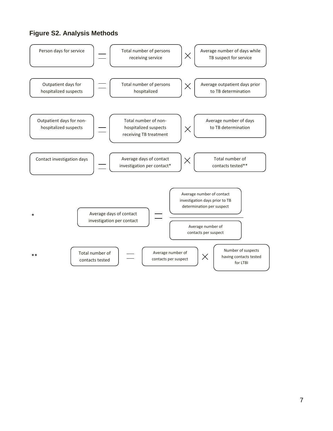## **Figure S2. Analysis Methods**

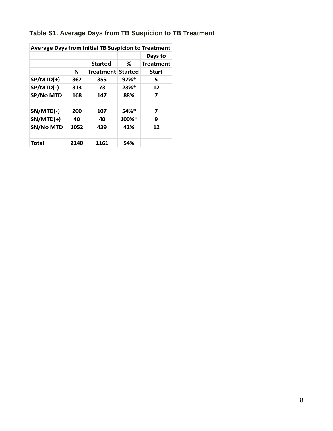# **Table S1. Average Days from TB Suspicion to TB Treatment**

| Average Days from Initial TB Suspicion to Treatment ! |      |                  |                     |                  |
|-------------------------------------------------------|------|------------------|---------------------|------------------|
|                                                       |      |                  |                     | Days to          |
|                                                       |      | <b>Started</b>   | ℅                   | <b>Treatment</b> |
|                                                       | N    | <b>Treatment</b> | <b>Started</b>      | <b>Start</b>     |
| $SP/MTD(+)$                                           | 367  | 355              | $97\%$ <sup>*</sup> | 5                |
| SP/MTD(-)                                             | 313  | 73               | 23%*                | 12               |
| <b>SP/No MTD</b>                                      | 168  | 147              | 88%                 | 7                |
|                                                       |      |                  |                     |                  |
| SN/MTD(-)                                             | 200  | 107              | 54%*                | 7                |
| $SN/MTD(+)$                                           | 40   | 40               | 100%*               | 9                |
| <b>SN/No MTD</b>                                      | 1052 | 439              | 42%                 | 12               |
|                                                       |      |                  |                     |                  |
| <b>Total</b>                                          | 2140 | 1161             | 54%                 |                  |

**Average Days from Initial TB Suspicion to Treatment !**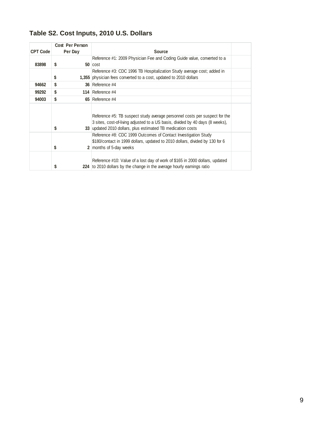# **Table S2. Cost Inputs, 2010 U.S. Dollars**

|                 | Cost Per Person |                                                                                                                                                                                                                            |  |
|-----------------|-----------------|----------------------------------------------------------------------------------------------------------------------------------------------------------------------------------------------------------------------------|--|
| <b>CPT Code</b> | Per Day         | <b>Source</b>                                                                                                                                                                                                              |  |
|                 |                 | Reference #1: 2009 Physician Fee and Coding Guide value, converted to a                                                                                                                                                    |  |
| 83898           | S               | $50$ $cost$                                                                                                                                                                                                                |  |
|                 |                 | Reference #3: CDC 1996 TB Hospitalization Study average cost; added in                                                                                                                                                     |  |
|                 | \$              | 1,355 physician fees converted to a cost, updated to 2010 dollars                                                                                                                                                          |  |
| 94662           | \$              | 36 Reference #4                                                                                                                                                                                                            |  |
| 99292           | S               | 114 Reference #4                                                                                                                                                                                                           |  |
| 94003           | S               | 65 Reference #4                                                                                                                                                                                                            |  |
|                 | \$              | Reference #5: TB suspect study average personnel costs per suspect for the<br>3 sites, cost-of-living adjusted to a US basis, divided by 40 days (8 weeks),<br>33 updated 2010 dollars, plus estimated TB medication costs |  |
|                 | \$              | Reference #8: CDC 1999 Outcomes of Contact Investigation Study<br>\$180/contact in 1999 dollars, updated to 2010 dollars, divided by 130 for 6<br>2 months of 5-day weeks                                                  |  |
|                 | \$              | Reference #10: Value of a lost day of work of \$165 in 2000 dollars, updated<br>224 to 2010 dollars by the change in the average hourly earnings ratio                                                                     |  |